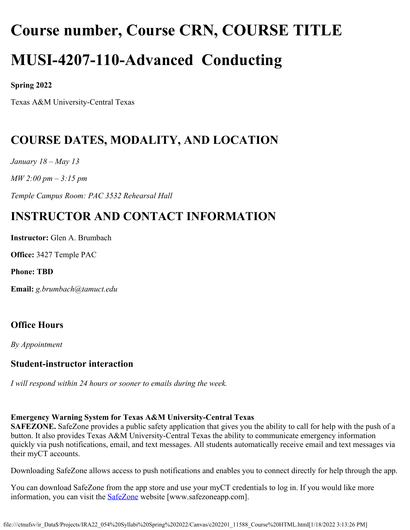# **Course number, Course CRN, COURSE TITLE MUSI-4207-110-Advanced Conducting**

#### **Spring 2022**

Texas A&M University-Central Texas

# **COURSE DATES, MODALITY, AND LOCATION**

*January 18 – May 13*

*MW 2:00 pm – 3:15 pm*

*Temple Campus Room: PAC 3532 Rehearsal Hall*

# **INSTRUCTOR AND CONTACT INFORMATION**

**Instructor:** Glen A. Brumbach

**Office:** 3427 Temple PAC

**Phone: TBD**

**Email:** *g.brumbach@tamuct.edu*

# **Office Hours**

*By Appointment*

# **Student-instructor interaction**

*I will respond within 24 hours or sooner to emails during the week.*

#### **Emergency Warning System for Texas A&M University-Central Texas**

**SAFEZONE.** SafeZone provides a public safety application that gives you the ability to call for help with the push of a button. It also provides Texas A&M University-Central Texas the ability to communicate emergency information quickly via push notifications, email, and text messages. All students automatically receive email and text messages via their myCT accounts.

Downloading SafeZone allows access to push notifications and enables you to connect directly for help through the app.

You can download SafeZone from the app store and use your myCT credentials to log in. If you would like more information, you can visit the **SafeZone** website [www.safezoneapp.com].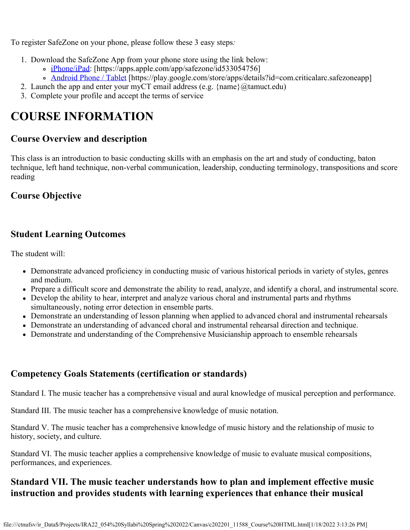To register SafeZone on your phone, please follow these 3 easy steps*:*

- 1. Download the SafeZone App from your phone store using the link below:
	- o [iPhone/iPad](https://apps.apple.com/app/safezone/id533054756): [https://apps.apple.com/app/safezone/id533054756]
	- [Android Phone / Tablet](https://play.google.com/store/apps/details?id=com.criticalarc.safezoneapp) [https://play.google.com/store/apps/details?id=com.criticalarc.safezoneapp]
- 2. Launch the app and enter your myCT email address (e.g.  $\{\text{name}\}\langle\omega\text{tamuct.edu}\rangle$ )
- 3. Complete your profile and accept the terms of service

# **COURSE INFORMATION**

# **Course Overview and description**

This class is an introduction to basic conducting skills with an emphasis on the art and study of conducting, baton technique, left hand technique, non-verbal communication, leadership, conducting terminology, transpositions and score reading

# **Course Objective**

# **Student Learning Outcomes**

The student will:

- Demonstrate advanced proficiency in conducting music of various historical periods in variety of styles, genres and medium.
- Prepare a difficult score and demonstrate the ability to read, analyze, and identify a choral, and instrumental score.
- Develop the ability to hear, interpret and analyze various choral and instrumental parts and rhythms simultaneously, noting error detection in ensemble parts.
- Demonstrate an understanding of lesson planning when applied to advanced choral and instrumental rehearsals
- Demonstrate an understanding of advanced choral and instrumental rehearsal direction and technique.
- Demonstrate and understanding of the Comprehensive Musicianship approach to ensemble rehearsals

# **Competency Goals Statements (certification or standards)**

Standard I. The music teacher has a comprehensive visual and aural knowledge of musical perception and performance.

Standard III. The music teacher has a comprehensive knowledge of music notation.

Standard V. The music teacher has a comprehensive knowledge of music history and the relationship of music to history, society, and culture.

Standard VI. The music teacher applies a comprehensive knowledge of music to evaluate musical compositions, performances, and experiences.

# **Standard VII. The music teacher understands how to plan and implement effective music instruction and provides students with learning experiences that enhance their musical**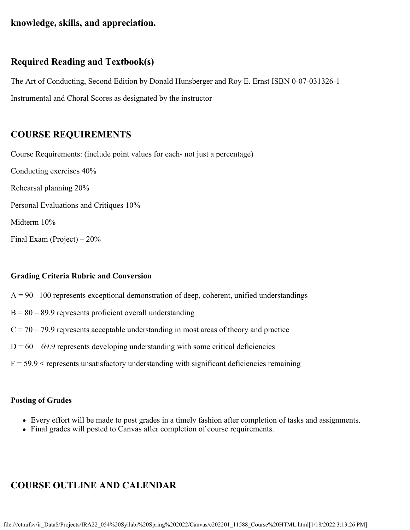# **knowledge, skills, and appreciation.**

### **Required Reading and Textbook(s)**

The Art of Conducting, Second Edition by Donald Hunsberger and Roy E. Ernst ISBN 0-07-031326-1 Instrumental and Choral Scores as designated by the instructor

# **COURSE REQUIREMENTS**

Course Requirements: (include point values for each- not just a percentage) Conducting exercises 40% Rehearsal planning 20% Personal Evaluations and Critiques 10% Midterm 10% Final Exam (Project) – 20%

#### **Grading Criteria Rubric and Conversion**

- $A = 90 100$  represents exceptional demonstration of deep, coherent, unified understandings
- $B = 80 89.9$  represents proficient overall understanding
- $C = 70 79.9$  represents acceptable understanding in most areas of theory and practice
- $D = 60 69.9$  represents developing understanding with some critical deficiencies
- $F = 59.9 <$  represents unsatisfactory understanding with significant deficiencies remaining

#### **Posting of Grades**

- Every effort will be made to post grades in a timely fashion after completion of tasks and assignments.
- Final grades will posted to Canvas after completion of course requirements.

# **COURSE OUTLINE AND CALENDAR**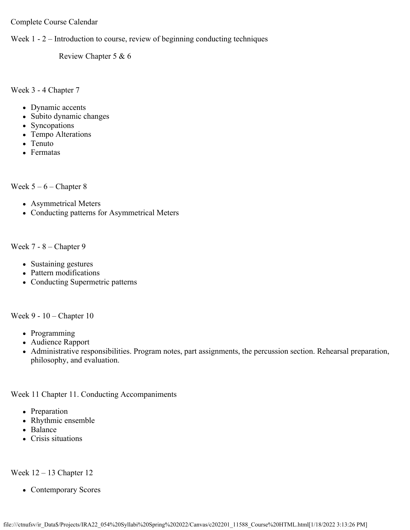#### Complete Course Calendar

Week 1 - 2 – Introduction to course, review of beginning conducting techniques

Review Chapter 5 & 6

Week 3 - 4 Chapter 7

- Dynamic accents
- Subito dynamic changes
- Syncopations
- Tempo Alterations
- Tenuto
- Fermatas

Week  $5 - 6$  – Chapter 8

- Asymmetrical Meters
- Conducting patterns for Asymmetrical Meters

Week 7 - 8 – Chapter 9

- Sustaining gestures
- Pattern modifications
- Conducting Supermetric patterns

Week 9 - 10 – Chapter 10

- Programming
- Audience Rapport
- Administrative responsibilities. Program notes, part assignments, the percussion section. Rehearsal preparation, philosophy, and evaluation.

Week 11 Chapter 11. Conducting Accompaniments

- Preparation
- Rhythmic ensemble
- Balance
- Crisis situations

Week  $12 - 13$  Chapter 12

• Contemporary Scores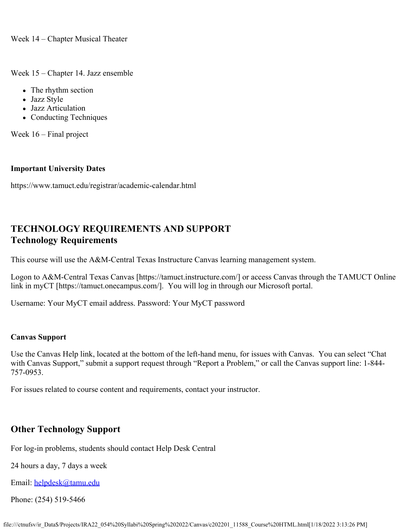Week 15 – Chapter 14. Jazz ensemble

- The rhythm section
- Jazz Style
- Jazz Articulation
- Conducting Techniques

Week 16 – Final project

## **Important University Dates**

https://www.tamuct.edu/registrar/academic-calendar.html

# **TECHNOLOGY REQUIREMENTS AND SUPPORT Technology Requirements**

This course will use the A&M-Central Texas Instructure Canvas learning management system.

Logon to A&M-Central Texas Canvas [https://tamuct.instructure.com/] or access Canvas through the TAMUCT Online link in myCT [https://tamuct.onecampus.com/]. You will log in through our Microsoft portal.

Username: Your MyCT email address. Password: Your MyCT password

## **Canvas Support**

Use the Canvas Help link, located at the bottom of the left-hand menu, for issues with Canvas. You can select "Chat with Canvas Support," submit a support request through "Report a Problem," or call the Canvas support line: 1-844-757-0953.

For issues related to course content and requirements, contact your instructor.

# **Other Technology Support**

For log-in problems, students should contact Help Desk Central

24 hours a day, 7 days a week

Email: [helpdesk@tamu.edu](mailto:helpdesk@tamu.edu)

Phone: (254) 519-5466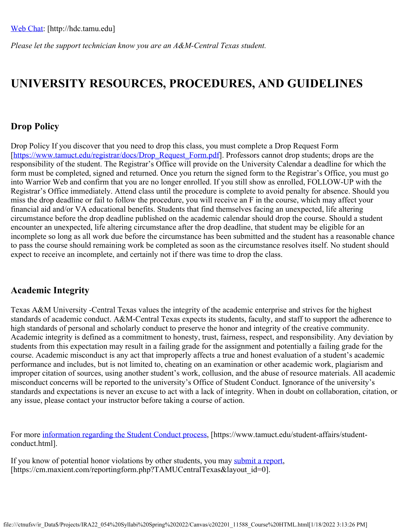*Please let the support technician know you are an A&M-Central Texas student.*

# **UNIVERSITY RESOURCES, PROCEDURES, AND GUIDELINES**

# **Drop Policy**

Drop Policy If you discover that you need to drop this class, you must complete a Drop Request Form [[https://www.tamuct.edu/registrar/docs/Drop\\_Request\\_Form.pdf\]](https://www.tamuct.edu/registrar/docs/Drop_Request_Form.pdf). Professors cannot drop students; drops are the responsibility of the student. The Registrar's Office will provide on the University Calendar a deadline for which the form must be completed, signed and returned. Once you return the signed form to the Registrar's Office, you must go into Warrior Web and confirm that you are no longer enrolled. If you still show as enrolled, FOLLOW-UP with the Registrar's Office immediately. Attend class until the procedure is complete to avoid penalty for absence. Should you miss the drop deadline or fail to follow the procedure, you will receive an F in the course, which may affect your financial aid and/or VA educational benefits. Students that find themselves facing an unexpected, life altering circumstance before the drop deadline published on the academic calendar should drop the course. Should a student encounter an unexpected, life altering circumstance after the drop deadline, that student may be eligible for an incomplete so long as all work due before the circumstance has been submitted and the student has a reasonable chance to pass the course should remaining work be completed as soon as the circumstance resolves itself. No student should expect to receive an incomplete, and certainly not if there was time to drop the class.

# **Academic Integrity**

Texas A&M University -Central Texas values the integrity of the academic enterprise and strives for the highest standards of academic conduct. A&M-Central Texas expects its students, faculty, and staff to support the adherence to high standards of personal and scholarly conduct to preserve the honor and integrity of the creative community. Academic integrity is defined as a commitment to honesty, trust, fairness, respect, and responsibility. Any deviation by students from this expectation may result in a failing grade for the assignment and potentially a failing grade for the course. Academic misconduct is any act that improperly affects a true and honest evaluation of a student's academic performance and includes, but is not limited to, cheating on an examination or other academic work, plagiarism and improper citation of sources, using another student's work, collusion, and the abuse of resource materials. All academic misconduct concerns will be reported to the university's Office of Student Conduct. Ignorance of the university's standards and expectations is never an excuse to act with a lack of integrity. When in doubt on collaboration, citation, or any issue, please contact your instructor before taking a course of action.

For more [information regarding the Student Conduct process](https://www.tamuct.edu/student-affairs/student-conduct.html), [https://www.tamuct.edu/student-affairs/studentconduct.html].

If you know of potential honor violations by other students, you may [submit a report](https://cm.maxient.com/reportingform.php?TAMUCentralTexas&layout_id=0), [https://cm.maxient.com/reportingform.php?TAMUCentralTexas&layout\_id=0].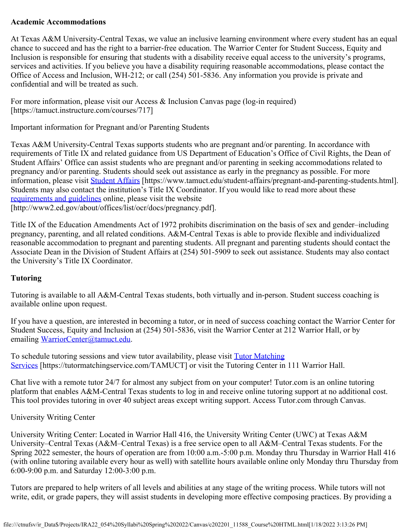#### **Academic Accommodations**

At Texas A&M University-Central Texas, we value an inclusive learning environment where every student has an equal chance to succeed and has the right to a barrier-free education. The Warrior Center for Student Success, Equity and Inclusion is responsible for ensuring that students with a disability receive equal access to the university's programs, services and activities. If you believe you have a disability requiring reasonable accommodations, please contact the Office of Access and Inclusion, WH-212; or call (254) 501-5836. Any information you provide is private and confidential and will be treated as such.

For more information, please visit our Access & Inclusion Canvas page (log-in required) [https://tamuct.instructure.com/courses/717]

Important information for Pregnant and/or Parenting Students

Texas A&M University-Central Texas supports students who are pregnant and/or parenting. In accordance with requirements of Title IX and related guidance from US Department of Education's Office of Civil Rights, the Dean of Student Affairs' Office can assist students who are pregnant and/or parenting in seeking accommodations related to pregnancy and/or parenting. Students should seek out assistance as early in the pregnancy as possible. For more information, please visit **Student Affairs** [https://www.tamuct.edu/student-affairs/pregnant-and-parenting-students.html]. Students may also contact the institution's Title IX Coordinator. If you would like to read more about these [requirements and guidelines](http://www2.ed.gov/about/offices/list/ocr/docs/pregnancy.pdf) online, please visit the website [http://www2.ed.gov/about/offices/list/ocr/docs/pregnancy.pdf].

Title IX of the Education Amendments Act of 1972 prohibits discrimination on the basis of sex and gender–including pregnancy, parenting, and all related conditions. A&M-Central Texas is able to provide flexible and individualized reasonable accommodation to pregnant and parenting students. All pregnant and parenting students should contact the Associate Dean in the Division of Student Affairs at (254) 501-5909 to seek out assistance. Students may also contact the University's Title IX Coordinator.

#### **Tutoring**

Tutoring is available to all A&M-Central Texas students, both virtually and in-person. Student success coaching is available online upon request.

If you have a question, are interested in becoming a tutor, or in need of success coaching contact the Warrior Center for Student Success, Equity and Inclusion at (254) 501-5836, visit the Warrior Center at 212 Warrior Hall, or by emailing [WarriorCenter@tamuct.edu](mailto:WarriorCenter@tamuct.edu).

To schedule tutoring sessions and view tutor availability, please visit [Tutor Matching](https://nam04.safelinks.protection.outlook.com/?url=http%3A%2F%2Fwww.tutormatchingservices.com%2FTAMUCT&data=04%7C01%7Clisa.bunkowski%40tamuct.edu%7C886784139069461670c308d9aa01f55e%7C9eed4e3000f744849ff193ad8005acec%7C0%7C0%7C637727747643427346%7CUnknown%7CTWFpbGZsb3d8eyJWIjoiMC4wLjAwMDAiLCJQIjoiV2luMzIiLCJBTiI6Ik1haWwiLCJXVCI6Mn0%3D%7C3000&sdata=D%2F8HN2bUT1lLPfs5qSqKYlwh8a7pZVy7isM2gppluQE%3D&reserved=0) [Services](https://nam04.safelinks.protection.outlook.com/?url=http%3A%2F%2Fwww.tutormatchingservices.com%2FTAMUCT&data=04%7C01%7Clisa.bunkowski%40tamuct.edu%7C886784139069461670c308d9aa01f55e%7C9eed4e3000f744849ff193ad8005acec%7C0%7C0%7C637727747643427346%7CUnknown%7CTWFpbGZsb3d8eyJWIjoiMC4wLjAwMDAiLCJQIjoiV2luMzIiLCJBTiI6Ik1haWwiLCJXVCI6Mn0%3D%7C3000&sdata=D%2F8HN2bUT1lLPfs5qSqKYlwh8a7pZVy7isM2gppluQE%3D&reserved=0) [https://tutormatchingservice.com/TAMUCT] or visit the Tutoring Center in 111 Warrior Hall.

Chat live with a remote tutor 24/7 for almost any subject from on your computer! Tutor.com is an online tutoring platform that enables A&M-Central Texas students to log in and receive online tutoring support at no additional cost. This tool provides tutoring in over 40 subject areas except writing support. Access Tutor.com through Canvas.

#### University Writing Center

University Writing Center: Located in Warrior Hall 416, the University Writing Center (UWC) at Texas A&M University–Central Texas (A&M–Central Texas) is a free service open to all A&M–Central Texas students. For the Spring 2022 semester, the hours of operation are from 10:00 a.m.-5:00 p.m. Monday thru Thursday in Warrior Hall 416 (with online tutoring available every hour as well) with satellite hours available online only Monday thru Thursday from 6:00-9:00 p.m. and Saturday 12:00-3:00 p.m.

Tutors are prepared to help writers of all levels and abilities at any stage of the writing process. While tutors will not write, edit, or grade papers, they will assist students in developing more effective composing practices. By providing a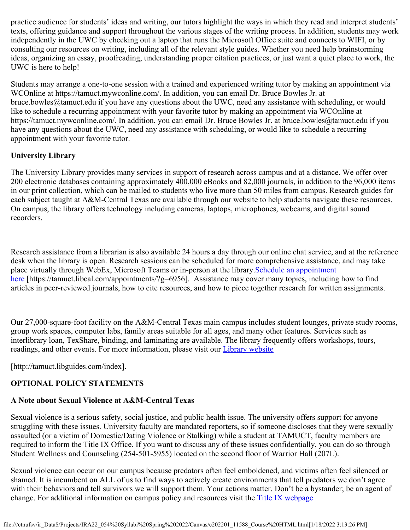practice audience for students' ideas and writing, our tutors highlight the ways in which they read and interpret students' texts, offering guidance and support throughout the various stages of the writing process. In addition, students may work independently in the UWC by checking out a laptop that runs the Microsoft Office suite and connects to WIFI, or by consulting our resources on writing, including all of the relevant style guides. Whether you need help brainstorming ideas, organizing an essay, proofreading, understanding proper citation practices, or just want a quiet place to work, the UWC is here to help!

Students may arrange a one-to-one session with a trained and experienced writing tutor by making an appointment via WCOnline at https://tamuct.mywconline.com/. In addition, you can email Dr. Bruce Bowles Jr. at bruce.bowles@tamuct.edu if you have any questions about the UWC, need any assistance with scheduling, or would like to schedule a recurring appointment with your favorite tutor by making an appointment via WCOnline at https://tamuct.mywconline.com/. In addition, you can email Dr. Bruce Bowles Jr. at bruce.bowles@tamuct.edu if you have any questions about the UWC, need any assistance with scheduling, or would like to schedule a recurring appointment with your favorite tutor.

#### **University Library**

The University Library provides many services in support of research across campus and at a distance. We offer over 200 electronic databases containing approximately 400,000 eBooks and 82,000 journals, in addition to the 96,000 items in our print collection, which can be mailed to students who live more than 50 miles from campus. Research guides for each subject taught at A&M-Central Texas are available through our website to help students navigate these resources. On campus, the library offers technology including cameras, laptops, microphones, webcams, and digital sound recorders.

Research assistance from a librarian is also available 24 hours a day through our online chat service, and at the reference desk when the library is open. Research sessions can be scheduled for more comprehensive assistance, and may take place virtually through WebEx, Microsoft Teams or in-person at the library. Schedule an appointment [here](https://nam04.safelinks.protection.outlook.com/?url=https%3A%2F%2Ftamuct.libcal.com%2Fappointments%2F%3Fg%3D6956&data=04%7C01%7Clisa.bunkowski%40tamuct.edu%7Cde2c07d9f5804f09518008d9ab7ba6ff%7C9eed4e3000f744849ff193ad8005acec%7C0%7C0%7C637729369835011558%7CUnknown%7CTWFpbGZsb3d8eyJWIjoiMC4wLjAwMDAiLCJQIjoiV2luMzIiLCJBTiI6Ik1haWwiLCJXVCI6Mn0%3D%7C3000&sdata=KhtjgRSAw9aq%2FoBsB6wyu8b7PSuGN5EGPypzr3Ty2No%3D&reserved=0) [https://tamuct.libcal.com/appointments/?g=6956]. Assistance may cover many topics, including how to find articles in peer-reviewed journals, how to cite resources, and how to piece together research for written assignments.

Our 27,000-square-foot facility on the A&M-Central Texas main campus includes student lounges, private study rooms, group work spaces, computer labs, family areas suitable for all ages, and many other features. Services such as interlibrary loan, TexShare, binding, and laminating are available. The library frequently offers workshops, tours, readings, and other events. For more information, please visit our *[Library website](https://nam04.safelinks.protection.outlook.com/?url=https%3A%2F%2Ftamuct.libguides.com%2Findex&data=04%7C01%7Clisa.bunkowski%40tamuct.edu%7C7d8489e8839a4915335f08d916f067f2%7C9eed4e3000f744849ff193ad8005acec%7C0%7C0%7C637566044056484222%7CUnknown%7CTWFpbGZsb3d8eyJWIjoiMC4wLjAwMDAiLCJQIjoiV2luMzIiLCJBTiI6Ik1haWwiLCJXVCI6Mn0%3D%7C1000&sdata=2R755V6rcIyedGrd4Os5rkgn1PvhHKU3kUV1vBKiHFo%3D&reserved=0)* 

[http://tamuct.libguides.com/index].

# **OPTIONAL POLICY STATEMENTS**

## **A Note about Sexual Violence at A&M-Central Texas**

Sexual violence is a serious safety, social justice, and public health issue. The university offers support for anyone struggling with these issues. University faculty are mandated reporters, so if someone discloses that they were sexually assaulted (or a victim of Domestic/Dating Violence or Stalking) while a student at TAMUCT, faculty members are required to inform the Title IX Office. If you want to discuss any of these issues confidentially, you can do so through Student Wellness and Counseling (254-501-5955) located on the second floor of Warrior Hall (207L).

Sexual violence can occur on our campus because predators often feel emboldened, and victims often feel silenced or shamed. It is incumbent on ALL of us to find ways to actively create environments that tell predators we don't agree with their behaviors and tell survivors we will support them. Your actions matter. Don't be a bystander; be an agent of change. For additional information on campus policy and resources visit the [Title IX webpage](https://www.tamuct.edu/compliance/titleix.html)